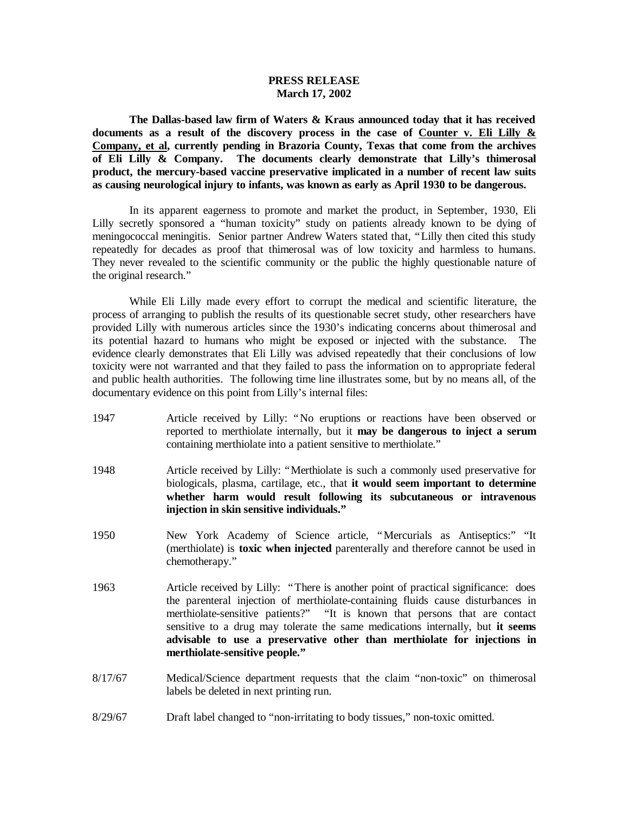### **PRESS RELEASE March 17, 2002**

**The Dallas-based law firm of Waters & Kraus announced today that it has received documents as a result of the discovery process in the case of Counter v. Eli Lilly & Company, et al, currently pending in Brazoria County, Texas that come from the archives of Eli Lilly & Company. The documents clearly demonstrate that Lilly's thimerosal product, the mercury-based vaccine preservative implicated in a number of recent law suits as causing neurological injury to infants, was known as early as April 1930 to be dangerous.** 

In its apparent eagerness to promote and market the product, in September, 1930, Eli Lilly secretly sponsored a "human toxicity" study on patients already known to be dying of meningococcal meningitis. Senior partner Andrew Waters stated that, "Lilly then cited this study repeatedly for decades as proof that thimerosal was of low toxicity and harmless to humans. They never revealed to the scientific community or the public the highly questionable nature of the original research."

While Eli Lilly made every effort to corrupt the medical and scientific literature, the process of arranging to publish the results of its questionable secret study, other researchers have provided Lilly with numerous articles since the 1930's indicating concerns about thimerosal and its potential hazard to humans who might be exposed or injected with the substance. The evidence clearly demonstrates that Eli Lilly was advised repeatedly that their conclusions of low toxicity were not warranted and that they failed to pass the information on to appropriate federal and public health authorities. The following time line illustrates some, but by no means all, of the documentary evidence on this point from Lilly's internal files:

- 1947 Article received by Lilly: "No eruptions or reactions have been observed or reported to merthiolate internally, but it **may be dangerous to inject a serum** containing merthiolate into a patient sensitive to merthiolate."
- 1948 Article received by Lilly: "Merthiolate is such a commonly used preservative for biologicals, plasma, cartilage, etc., that **it would seem important to determine whether harm would result following its subcutaneous or intravenous injection in skin sensitive individuals."**
- 1950 New York Academy of Science article, "Mercurials as Antiseptics:" "It (merthiolate) is **toxic when injected** parenterally and therefore cannot be used in chemotherapy."
- 1963 Article received by Lilly: "There is another point of practical significance: does the parenteral injection of merthiolate-containing fluids cause disturbances in merthiolate-sensitive patients?" "It is known that persons that are contact sensitive to a drug may tolerate the same medications internally, but **it seems advisable to use a preservative other than merthiolate for injections in merthiolate-sensitive people."**
- 8/17/67 Medical/Science department requests that the claim "non-toxic" on thimerosal labels be deleted in next printing run.
- 8/29/67 Draft label changed to "non-irritating to body tissues," non-toxic omitted.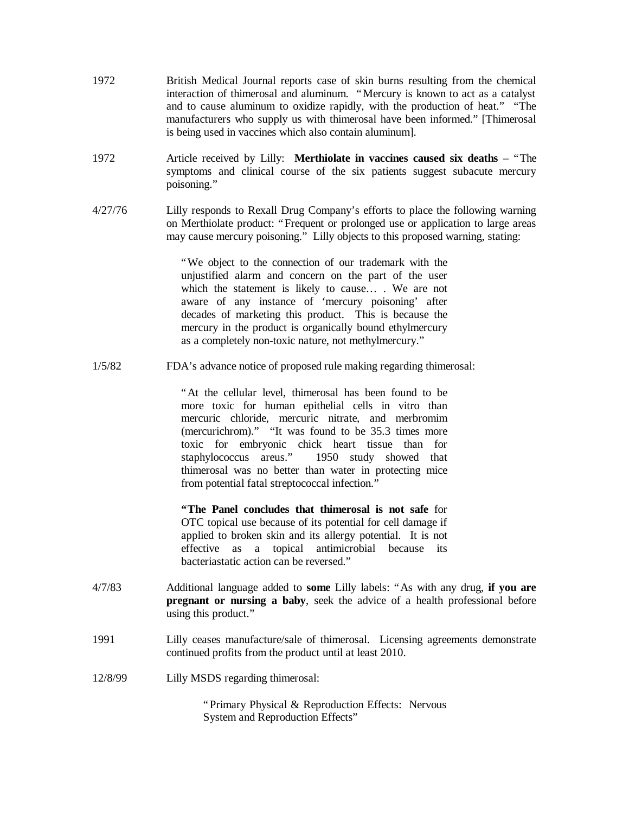- 1972 British Medical Journal reports case of skin burns resulting from the chemical interaction of thimerosal and aluminum. "Mercury is known to act as a catalyst and to cause aluminum to oxidize rapidly, with the production of heat." "The manufacturers who supply us with thimerosal have been informed." [Thimerosal is being used in vaccines which also contain aluminum].
- 1972 Article received by Lilly: **Merthiolate in vaccines caused six deaths** "The symptoms and clinical course of the six patients suggest subacute mercury poisoning."
- 4/27/76 Lilly responds to Rexall Drug Company's efforts to place the following warning on Merthiolate product: "Frequent or prolonged use or application to large areas may cause mercury poisoning." Lilly objects to this proposed warning, stating:

"We object to the connection of our trademark with the unjustified alarm and concern on the part of the user which the statement is likely to cause… . We are not aware of any instance of 'mercury poisoning' after decades of marketing this product. This is because the mercury in the product is organically bound ethylmercury as a completely non-toxic nature, not methylmercury."

1/5/82 FDA's advance notice of proposed rule making regarding thimerosal:

"At the cellular level, thimerosal has been found to be more toxic for human epithelial cells in vitro than mercuric chloride, mercuric nitrate, and merbromim (mercurichrom)." "It was found to be 35.3 times more toxic for embryonic chick heart tissue than for staphylococcus areus." 1950 study showed that thimerosal was no better than water in protecting mice from potential fatal streptococcal infection."

**"The Panel concludes that thimerosal is not safe** for OTC topical use because of its potential for cell damage if applied to broken skin and its allergy potential. It is not effective as a topical antimicrobial because its bacteriastatic action can be reversed."

- 4/7/83 Additional language added to **some** Lilly labels: "As with any drug, **if you are pregnant or nursing a baby**, seek the advice of a health professional before using this product."
- 1991 Lilly ceases manufacture/sale of thimerosal. Licensing agreements demonstrate continued profits from the product until at least 2010.
- 12/8/99 Lilly MSDS regarding thimerosal:

"Primary Physical & Reproduction Effects: Nervous System and Reproduction Effects"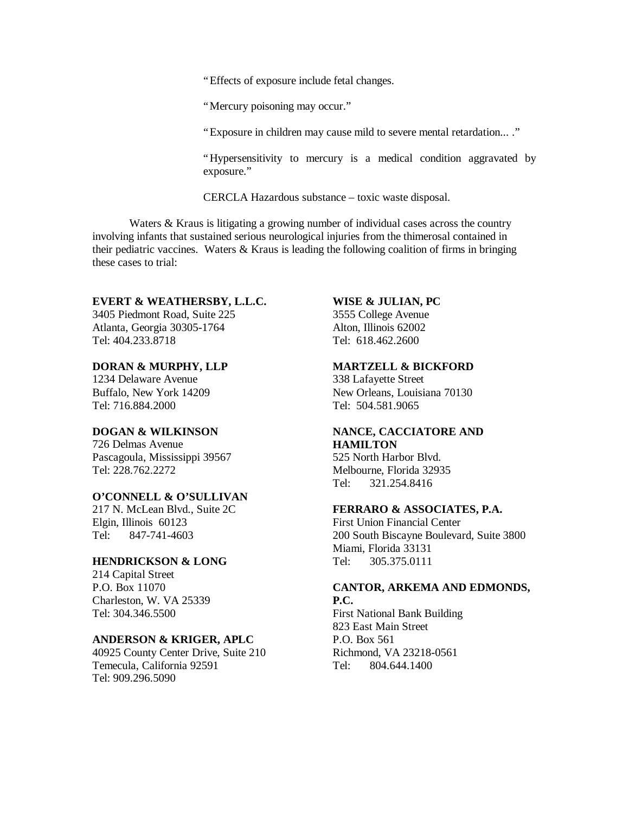"Effects of exposure include fetal changes.

"Mercury poisoning may occur."

"Exposure in children may cause mild to severe mental retardation... ."

"Hypersensitivity to mercury is a medical condition aggravated by exposure."

CERCLA Hazardous substance – toxic waste disposal.

Waters & Kraus is litigating a growing number of individual cases across the country involving infants that sustained serious neurological injuries from the thimerosal contained in their pediatric vaccines. Waters & Kraus is leading the following coalition of firms in bringing these cases to trial:

#### **EVERT & WEATHERSBY, L.L.C.**

3405 Piedmont Road, Suite 225 Atlanta, Georgia 30305-1764 Tel: 404.233.8718

#### **DORAN & MURPHY, LLP**

1234 Delaware Avenue Buffalo, New York 14209 Tel: 716.884.2000

# **DOGAN & WILKINSON**

726 Delmas Avenue Pascagoula, Mississippi 39567 Tel: 228.762.2272

# **O'CONNELL & O'SULLIVAN**

217 N. McLean Blvd., Suite 2C Elgin, Illinois 60123 Tel: 847-741-4603

### **HENDRICKSON & LONG**

214 Capital Street P.O. Box 11070 Charleston, W. VA 25339 Tel: 304.346.5500

#### **ANDERSON & KRIGER, APLC**

40925 County Center Drive, Suite 210 Temecula, California 92591 Tel: 909.296.5090

# **WISE & JULIAN, PC**

3555 College Avenue Alton, Illinois 62002 Tel: 618.462.2600

## **MARTZELL & BICKFORD**

338 Lafayette Street New Orleans, Louisiana 70130 Tel: 504.581.9065

### **NANCE, CACCIATORE AND HAMILTON**

525 North Harbor Blvd. Melbourne, Florida 32935 Tel: 321.254.8416

### **FERRARO & ASSOCIATES, P.A.**

First Union Financial Center 200 South Biscayne Boulevard, Suite 3800 Miami, Florida 33131 Tel: 305.375.0111

# **CANTOR, ARKEMA AND EDMONDS, P.C.**

First National Bank Building 823 East Main Street P.O. Box 561 Richmond, VA 23218-0561 Tel: 804.644.1400